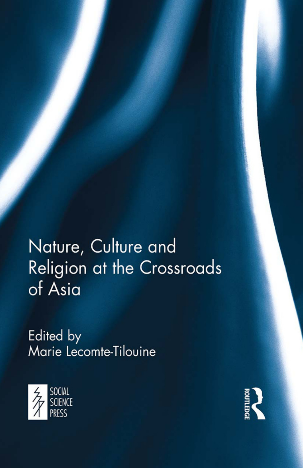Nature, Culture and Religion at the Crossroads of Asia

Edited by Marie Lecomte-Tilouine



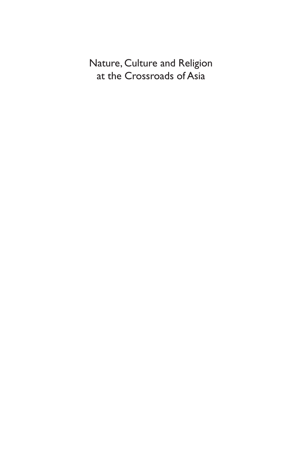Nature, Culture and Religion at the Crossroads of Asia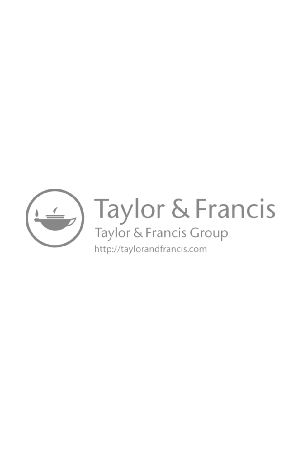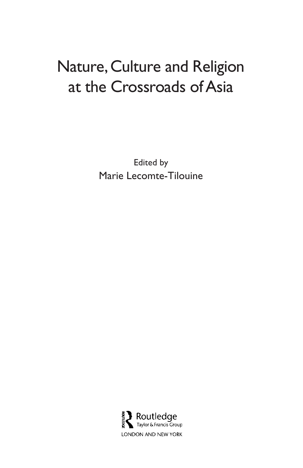# Nature, Culture and Religion at the Crossroads of Asia

Edited by Marie Lecomte-Tilouine

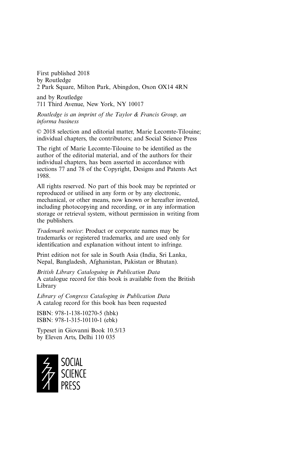First published 2018 by Routledge 2 Park Square, Milton Park, Abingdon, Oxon OX14 4RN

and by Routledge 711 Third Avenue, New York, NY 10017

*Routledge is an imprint of the Taylor & Francis Group, an informa business*

© 2018 selection and editorial matter, Marie Lecomte-Tilouine; individual chapters, the contributors; and Social Science Press

The right of Marie Lecomte-Tilouine to be identified as the author of the editorial material, and of the authors for their individual chapters, has been asserted in accordance with sections 77 and 78 of the Copyright, Designs and Patents Act 1988.

All rights reserved. No part of this book may be reprinted or reproduced or utilised in any form or by any electronic, mechanical, or other means, now known or hereafter invented, including photocopying and recording, or in any information storage or retrieval system, without permission in writing from the publishers.

*Trademark notice*: Product or corporate names may be trademarks or registered trademarks, and are used only for identification and explanation without intent to infringe.

Print edition not for sale in South Asia (India, Sri Lanka, Nepal, Bangladesh, Afghanistan, Pakistan or Bhutan).

*British Library Cataloguing in Publication Data* A catalogue record for this book is available from the British Library

*Library of Congress Cataloging in Publication Data* A catalog record for this book has been requested

ISBN: 978-1-138-10270-5 (hbk) ISBN: 978-1-315-10110-1 (ebk)

Typeset in Giovanni Book 10.5/13 by Eleven Arts, Delhi 110 035

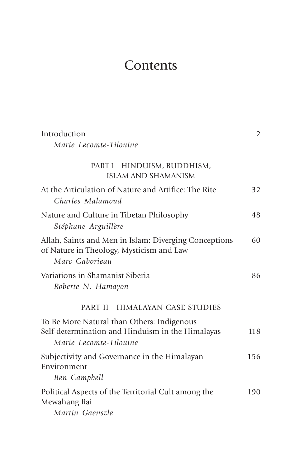## **Contents**

| Introduction                                                                                                             | $\overline{2}$ |
|--------------------------------------------------------------------------------------------------------------------------|----------------|
| Marie Lecomte-Tilouine                                                                                                   |                |
| PARTI HINDUISM, BUDDHISM,<br><b>ISLAM AND SHAMANISM</b>                                                                  |                |
| At the Articulation of Nature and Artifice: The Rite<br>Charles Malamoud                                                 | 32             |
| Nature and Culture in Tibetan Philosophy<br>Stéphane Arguillère                                                          | 48             |
| Allah, Saints and Men in Islam: Diverging Conceptions<br>of Nature in Theology, Mysticism and Law<br>Marc Gaborieau      | 60             |
| Variations in Shamanist Siberia<br>Roberte N. Hamayon                                                                    | 86             |
| PART II HIMALAYAN CASE STUDIES                                                                                           |                |
| To Be More Natural than Others: Indigenous<br>Self-determination and Hinduism in the Himalayas<br>Marie Lecomte-Tilouine | 118            |
| Subjectivity and Governance in the Himalayan<br>Environment<br>Ben Campbell                                              | 156            |
| Political Aspects of the Territorial Cult among the<br>Mewahang Rai<br>Martin Gaenszle                                   | 190            |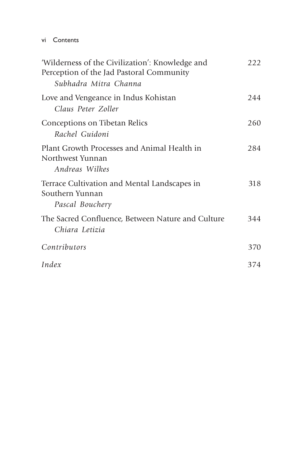vi Contents

| 'Wilderness of the Civilization': Knowledge and<br>Perception of the Jad Pastoral Community<br>Subhadra Mitra Channa | 222 |
|----------------------------------------------------------------------------------------------------------------------|-----|
| Love and Vengeance in Indus Kohistan<br>Claus Peter Zoller                                                           | 244 |
| Conceptions on Tibetan Relics<br>Rachel Guidoni                                                                      | 260 |
| Plant Growth Processes and Animal Health in<br>Northwest Yunnan<br>Andreas Wilkes                                    | 284 |
| Terrace Cultivation and Mental Landscapes in<br>Southern Yunnan<br>Pascal Bouchery                                   | 318 |
| The Sacred Confluence, Between Nature and Culture<br>Chiara Letizia                                                  | 344 |
| Contributors                                                                                                         | 370 |
| Index                                                                                                                | 374 |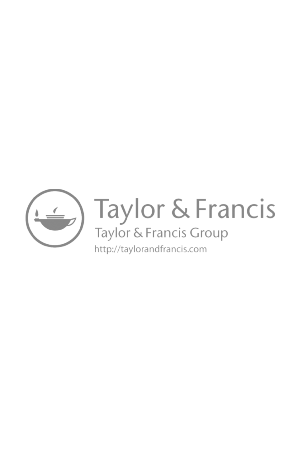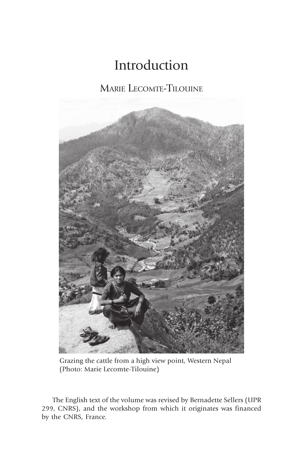# [Introduction](#page--1-0)

### MARIE LECOMTE-TILOUINE



Grazing the cattle from a high view point, Western Nepal (Photo: Marie Lecomte-Tilouine)

The English text of the volume was revised by Bernadette Sellers (UPR 299, CNRS), and the workshop from which it originates was financed by the CNRS, France.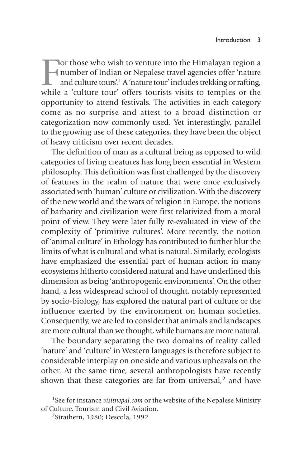For those who wish to venture into the Himalayan region a<br> **FROM HIMALA CONTENT A** 'nature tour' includes trekking or rafting,<br>
while a 'culture tour' offers tourists visits to temples or the or those who wish to venture into the Himalayan region a number of Indian or Nepalese travel agencies offer 'nature and culture tours['.1 A](#page--1-0) 'nature tour' includes trekking or rafting, opportunity to attend festivals. The activities in each category come as no surprise and attest to a broad distinction or categorization now commonly used. Yet interestingly, parallel to the growing use of these categories, they have been the object of heavy criticism over recent decades.

The definition of man as a cultural being as opposed to wild categories of living creatures has long been essential in Western philosophy. This definition was first challenged by the discovery of features in the realm of nature that were once exclusively associated with 'human' culture or civilization. With the discovery of the new world and the wars of religion in Europe, the notions of barbarity and civilization were first relativized from a moral point of view. They were later fully re-evaluated in view of the complexity of 'primitive cultures'. More recently, the notion of 'animal culture' in Ethology has contributed to further blur the limits of what is cultural and what is natural. Similarly, ecologists have emphasized the essential part of human action in many ecosystems hitherto considered natural and have underlined this dimension as being 'anthropogenic environments'. On the other hand, a less widespread school of thought, notably represented by socio-biology, has explored the natural part of culture or the influence exerted by the environment on human societies. Consequently, we are led to consider that animals and landscapes are more cultural than we thought, while humans are more natural.

The boundary separating the two domains of reality called 'nature' and 'culture' in Western languages is therefore subject to considerable interplay on one side and various upheavals on the other. At the same time, several anthropologists have recently shown that these categories are far from universal, $<sup>2</sup>$  and have</sup>

[2S](#page--1-0)trathern, 1980; Descola, 1992.

[<sup>1</sup>S](#page--1-0)ee for instance *[visitnepal.com](http://www.visitnepal.com)* or the website of the Nepalese Ministry of Culture, Tourism and Civil Aviation.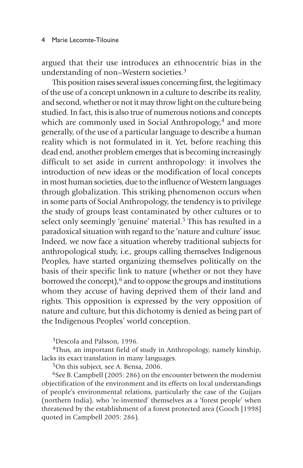argued that their use introduces an ethnocentric bias in the understanding of non–Western societies.[3](#page--1-0)

This position raises several issues concerning first, the legitimacy of the use of a concept unknown in a culture to describe its reality, and second, whether or not it may throw light on the culture being studied. In fact, this is also true of numerous notions and concepts which are commonly used in Social Anthropology, $4$  and more generally, of the use of a particular language to describe a human reality which is not formulated in it. Yet, before reaching this dead end, another problem emerges that is becoming increasingly difficult to set aside in current anthropology: it involves the introduction of new ideas or the modification of local concepts in most human societies, due to the influence of Western languages through globalization. This striking phenomenon occurs when in some parts of Social Anthropology, the tendency is to privilege the study of groups least contaminated by other cultures or to select only seemingly 'genuine' material.<sup>5</sup> This has resulted in a paradoxical situation with regard to the 'nature and culture' issue. Indeed, we now face a situation whereby traditional subjects for anthropological study, i.e., groups calling themselves Indigenous Peoples, have started organizing themselves politically on the basis of their specific link to nature (whether or not they have borrowed the concept $\int_{0}^{6}$  and to oppose the groups and institutions whom they accuse of having deprived them of their land and rights. This opposition is expressed by the very opposition of nature and culture, but this dichotomy is denied as being part of the Indigenous Peoples' world conception.

[3](#page--1-0)Descola and Pálsson, 1996.

[4](#page--1-0)Thus, an important field of study in Anthropology, namely kinship, lacks its exact translation in many languages.

[5O](#page--1-0)n this subject, see A. Bensa, 2006.

[6S](#page--1-0)ee B. Campbell (2005: 286) on the encounter between the modernist objectification of the environment and its effects on local understandings of people's environmental relations, particularly the case of the Gujjars (northern India), who 're-invented' themselves as a 'forest people' when threatened by the establishment of a forest protected area (Gooch [1998] quoted in Campbell 2005: 286).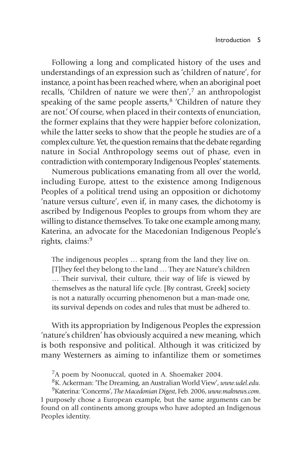Following a long and complicated history of the uses and understandings of an expression such as 'children of nature', for instance, a point has been reached where, when an aboriginal poet recalls, 'Children of nature we were then',<sup>7</sup> an anthropologist speaking of the same people asserts,<sup>8</sup> 'Children of nature they are not.' Of course, when placed in their contexts of enunciation, the former explains that they were happier before colonization, while the latter seeks to show that the people he studies are of a complex culture. Yet, the question remains that the debate regarding nature in Social Anthropology seems out of phase, even in contradiction with contemporary Indigenous Peoples' statements.

Numerous publications emanating from all over the world, including Europe, attest to the existence among Indigenous Peoples of a political trend using an opposition or dichotomy 'nature versus culture', even if, in many cases, the dichotomy is ascribed by Indigenous Peoples to groups from whom they are willing to distance themselves. To take one example among many, Katerina, an [adv](#page--1-0)ocate for the Macedonian Indigenous People's rights, claims:<sup>9</sup>

The indigenous peoples … sprang from the land they live on. [T]hey feel they belong to the land … They are Nature's children … Their survival, their culture, their way of life is viewed by themselves as the natural life cycle. [By contrast, Greek] society is not a naturally occurring phenomenon but a man-made one, its survival depends on codes and rules that must be adhered to.

With its appropriation by Indigenous Peoples the expression 'nature's children' has obviously acquired a new meaning, which is both responsive and political. Although it was criticized by many Westerners as aiming to infantilize them or sometimes

[7A](#page--1-0) poem by Noonuccal, quoted in A. Shoemaker 2004.

[8K](#page--1-0). Ackerman: 'The Dreaming, an Australian World View', *[www.udel.edu.](http://www.udel.edu)*

[9K](#page--1-0)aterina: 'Concerns', *The Macedonian Digest*, Feb. 2006, *[www.maknews.com](http://www.maknews.com)*. I purposely chose a European example, but the same arguments can be found on all continents among groups who have adopted an Indigenous Peoples identity.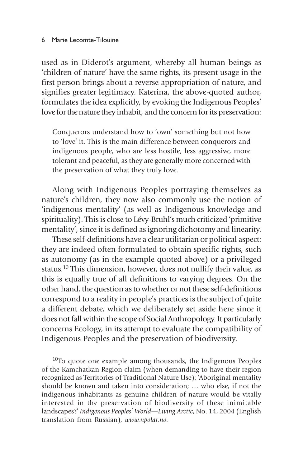used as in Diderot's argument, whereby all human beings as 'children of nature' have the same rights, its present usage in the first person brings about a reverse appropriation of nature, and signifies greater legitimacy. Katerina, the above-quoted author, formulates the idea explicitly, by evoking the Indigenous Peoples' love for the nature they inhabit, and the concern for its preservation:

Conquerors understand how to 'own' something but not how to 'love' it. This is the main difference between conquerors and indigenous people, who are less hostile, less aggressive, more tolerant and peaceful, as they are generally more concerned with the preservation of what they truly love.

Along with Indigenous Peoples portraying themselves as nature's children, they now also commonly use the notion of 'indigenous mentality' (as well as Indigenous knowledge and spirituality). This is close to Lévy-Bruhl's much criticized 'primitive mentality', since it is defined as ignoring dichotomy and linearity.

These self-definitions have a clear utilitarian or political aspect: they are indeed often formulated to obtain specific rights, such as autonomy (as in the example quoted above) or a privileged statu[s.10](#page--1-0) This dimension, however, does not nullify their value, as this is equally true of all definitions to varying degrees. On the other hand, the question as to whether or not these self-definitions correspond to a reality in people's practices is the subject of quite a different debate, which we deliberately set aside here since it does not fall within the scope of Social Anthropology. It particularly concerns Ecology, in its attempt to evaluate the compatibility of Indigenous Peoples and the preservation of biodiversity.

<sup>10</sup>To quote one example among thousands, the Indigenous Peoples of the Kamchatkan Region claim (when demanding to have their region recognized as Territories of Traditional Nature Use): 'Aboriginal mentality should be known and taken into consideration; … who else, if not the indigenous inhabitants as genuine children of nature would be vitally interested in the preservation of biodiversity of these inimitable landscapes?' *Indigenous Peoples' World—Living Arctic*, No. 14, 2004 (English translation from Russian), *[www.npolar.no.](http://www.npolar.no)*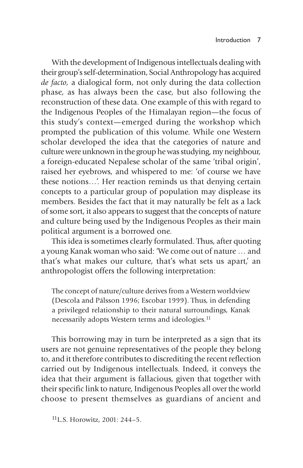With the development of Indigenous intellectuals dealing with their group's self-determination, Social Anthropology has acquired *de facto,* a dialogical form, not only during the data collection phase, as has always been the case, but also following the reconstruction of these data. One example of this with regard to the Indigenous Peoples of the Himalayan region—the focus of this study's context—emerged during the workshop which prompted the publication of this volume. While one Western scholar developed the idea that the categories of nature and culture were unknown in the group he was studying, my neighbour, a foreign-educated Nepalese scholar of the same 'tribal origin', raised her eyebrows, and whispered to me: 'of course we have these notions…'. Her reaction reminds us that denying certain concepts to a particular group of population may displease its members. Besides the fact that it may naturally be felt as a lack of some sort, it also appears to suggest that the concepts of nature and culture being used by the Indigenous Peoples as their main political argument is a borrowed one.

This idea is sometimes clearly formulated. Thus, after quoting a young Kanak woman who said: 'We come out of nature … and that's what makes our culture, that's what sets us apart,' an anthropologist offers the following interpretation:

The concept of nature/culture derives from a Western worldview (Descola and Pálsson 1996; Escobar 1999). Thus, in defending a privileged relationship to their natural surroundings, Kanak necessarily adopts Western terms and ideologies.<sup>[11](#page--1-0)</sup>

This borrowing may in turn be interpreted as a sign that its users are not genuine representatives of the people they belong to, and it therefore contributes to discrediting the recent reflection carried out by Indigenous intellectuals. Indeed, it conveys the idea that their argument is fallacious, given that together with their specific link to nature, Indigenous Peoples all over the world choose to present themselves as guardians of ancient and

[11L](#page--1-0).S. Horowitz, 2001: 244–5.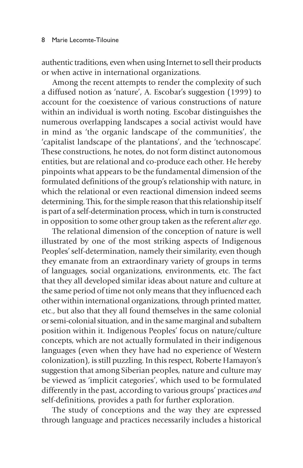authentic traditions, even when using Internet to sell their products or when active in international organizations.

Among the recent attempts to render the complexity of such a diffused notion as 'nature', A. Escobar's suggestion (1999) to account for the coexistence of various constructions of nature within an individual is worth noting. Escobar distinguishes the numerous overlapping landscapes a social activist would have in mind as 'the organic landscape of the communities', the 'capitalist landscape of the plantations', and the 'technoscape'. These constructions, he notes, do not form distinct autonomous entities, but are relational and co-produce each other. He hereby pinpoints what appears to be the fundamental dimension of the formulated definitions of the group's relationship with nature, in which the relational or even reactional dimension indeed seems determining. This, for the simple reason that this relationship itself is part of a self-determination process, which in turn is constructed in opposition to some other group taken as the referent *alter ego*.

The relational dimension of the conception of nature is well illustrated by one of the most striking aspects of Indigenous Peoples' self-determination, namely their similarity, even though they emanate from an extraordinary variety of groups in terms of languages, social organizations, environments, etc. The fact that they all developed similar ideas about nature and culture at the same period of time not only means that they influenced each other within international organizations, through printed matter, etc., but also that they all found themselves in the same colonial or semi-colonial situation, and in the same marginal and subaltern position within it. Indigenous Peoples' focus on nature/culture concepts, which are not actually formulated in their indigenous languages (even when they have had no experience of Western colonization), is still puzzling. In this respect, Roberte Hamayon's suggestion that among Siberian peoples, nature and culture may be viewed as 'implicit categories', which used to be formulated differently in the past, according to various groups' practices *and* self-definitions, provides a path for further exploration.

The study of conceptions and the way they are expressed through language and practices necessarily includes a historical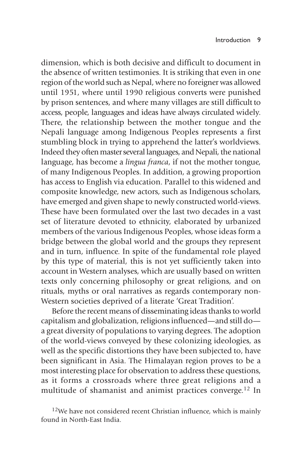dimension, which is both decisive and difficult to document in the absence of written testimonies. It is striking that even in one region of the world such as Nepal, where no foreigner was allowed until 1951, where until 1990 religious converts were punished by prison sentences, and where many villages are still difficult to access, people, languages and ideas have always circulated widely. There, the relationship between the mother tongue and the Nepali language among Indigenous Peoples represents a first stumbling block in trying to apprehend the latter's worldviews. Indeed they often master several languages, and Nepali, the national language, has become a *lingua franca*, if not the mother tongue, of many Indigenous Peoples. In addition, a growing proportion has access to English via education. Parallel to this widened and composite knowledge, new actors, such as Indigenous scholars, have emerged and given shape to newly constructed world-views. These have been formulated over the last two decades in a vast set of literature devoted to ethnicity, elaborated by urbanized members of the various Indigenous Peoples, whose ideas form a bridge between the global world and the groups they represent and in turn, influence. In spite of the fundamental role played by this type of material, this is not yet sufficiently taken into account in Western analyses, which are usually based on written texts only concerning philosophy or great religions, and on rituals, myths or oral narratives as regards contemporary non-Western societies deprived of a literate 'Great Tradition'.

Before the recent means of disseminating ideas thanks to world capitalism and globalization, religions influenced—and still do a great diversity of populations to varying degrees. The adoption of the world-views conveyed by these colonizing ideologies, as well as the specific distortions they have been subjected to, have been significant in Asia. The Himalayan region proves to be a most interesting place for observation to address these questions, as it forms a crossroads where three great religions and a multitude of shamanist and animist practices converge.<sup>12</sup> In

<sup>[12](#page--1-0)</sup>We have not considered recent Christian influence, which is mainly found in North-East India.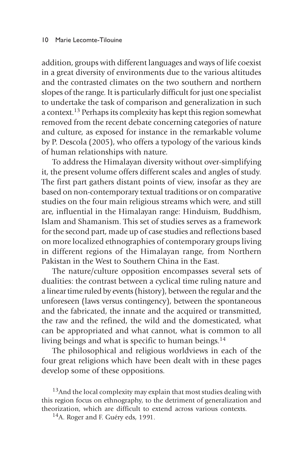addition, groups with different languages and ways of life coexist in a great diversity of environments due to the various altitudes and the contrasted climates on the two southern and northern slopes of the range. It is particularly difficult for just one specialist to undertake the task of comparison and generalization in such a context[.13 P](#page--1-0)erhaps its complexity has kept this region somewhat removed from the recent debate concerning categories of nature and culture, as exposed for instance in the remarkable volume by P. Descola (2005), who offers a typology of the various kinds of human relationships with nature.

To address the Himalayan diversity without over-simplifying it, the present volume offers different scales and angles of study. The [first part g](#page--1-0)athers distant points of view, insofar as they are based on non-contemporary textual traditions or on comparative studies on the four main religious streams which were, and still are, influential in the Himalayan range: Hinduism, Buddhism, Islam and Shamanism. This set of studies serves as a framework for th[e second part,](#page--1-0) made up of case studies and reflections based on more localized ethnographies of contemporary groups living in different regions of the Himalayan range, from Northern Pakistan in the West to Southern China in the East.

The nature/culture opposition encompasses several sets of dualities: the contrast between a cyclical time ruling nature and a linear time ruled by events (history), between the regular and the unforeseen (laws versus contingency), between the spontaneous and the fabricated, the innate and the acquired or transmitted, the raw and the refined, the wild and the domesticated, what can be appropriated and what cannot, what is common to all living beings and what is specific to human beings.<sup>[14](#page--1-0)</sup>

The philosophical and religious worldviews in each of the four great religions which have been dealt with in these pages develop some of these oppositions.

<sup>13</sup>And the local complexity may explain that most studies dealing with this region focus on ethnography, to the detriment of generalization and theorization, which are difficult to extend across various contexts.

<sup>14</sup>A. Roger and F. Guéry eds, 1991.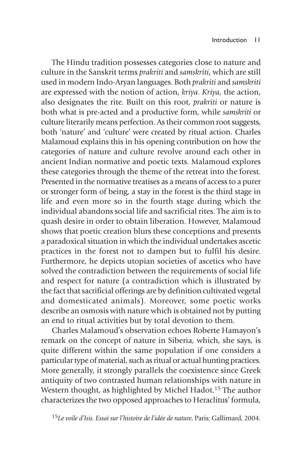The Hindu tradition possesses categories close to nature and culture in the Sanskrit terms *prakriti* and *samskriti*, which are still used in modern Indo-Aryan languages. Both *prakriti* and *samskriti* are expressed with the notion of action, *kriya*. *Kriya*, the action, also designates the rite. Built on this root, *prakriti* or nature is both what is pre-acted and a productive form, while *samskriti* or culture literarily means perfection. As their common root suggests, both 'nature' and 'culture' were created by ritual action. Charles Malamoud explains this in his opening contribution on how the categories of nature and culture revolve around each other in ancient Indian normative and poetic texts. Malamoud explores these categories through the theme of the retreat into the forest. Presented in the normative treatises as a means of access to a purer or stronger form of being, a stay in the forest is the third stage in life and even more so in the fourth stage during which the individual abandons social life and sacrificial rites. The aim is to quash desire in order to obtain liberation. However, Malamoud shows that poetic creation blurs these conceptions and presents a paradoxical situation in which the individual undertakes ascetic practices in the forest not to dampen but to fulfil his desire. Furthermore, he depicts utopian societies of ascetics who have solved the contradiction between the requirements of social life and respect for nature (a contradiction which is illustrated by the fact that sacrificial offerings are by definition cultivated vegetal and domesticated animals). Moreover, some poetic works describe an osmosis with nature which is obtained not by putting an end to ritual activities but by total devotion to them.

Charles Malamoud's observation echoes Roberte Hamayon's remark on the concept of nature in Siberia, which, she says, is quite different within the same population if one considers a particular type of material, such as ritual or actual hunting practices. More generally, it strongly parallels the coexistence since Greek antiquity of two contrasted human relationships with nature in Western thought, as highlighted by Michel Hadot.<sup>15</sup> The author characterizes the two opposed approaches to Heraclitus' formula,

[15](#page--1-0)*Le voile d'Isis. Essai sur l'histoire de l'idée de nature*, Paris: Gallimard, 2004.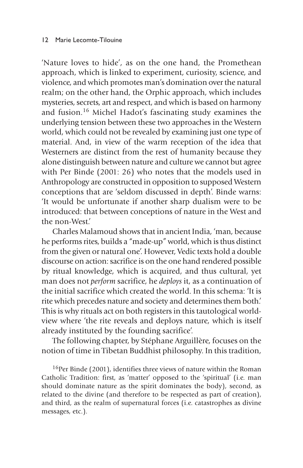#### 12 Marie Lecomte-Tilouine

'Nature loves to hide', as on the one hand, the Promethean approach, which is linked to experiment, curiosity, science, and violence, and which promotes man's domination over the natural realm; on the other hand, the Orphic approach, which includes mysteries, secrets, art and respect, and which is based on harmony and fusion.[16](#page--1-0) Michel Hadot's fascinating study examines the underlying tension between these two approaches in the Western world, which could not be revealed by examining just one type of material. And, in view of the warm reception of the idea that Westerners are distinct from the rest of humanity because they alone distinguish between nature and culture we cannot but agree with Per Binde (2001: 26) who notes that the models used in Anthropology are constructed in opposition to supposed Western conceptions that are 'seldom discussed in depth'. Binde warns: 'It would be unfortunate if another sharp dualism were to be introduced: that between conceptions of nature in the West and the non-West'

Charles Malamoud shows that in ancient India, 'man, because he performs rites, builds a "made-up" world, which is thus distinct from the given or natural one'. However, Vedic texts hold a double discourse on action: sacrifice is on the one hand rendered possible by ritual knowledge, which is acquired, and thus cultural, yet man does not *perform* sacrifice, he *deploys* it, as a continuation of the initial sacrifice which created the world. In this schema: 'It is rite which precedes nature and society and determines them both.' This is why rituals act on both registers in this tautological worldview where 'the rite reveals and deploys nature, which is itself already instituted by the founding sacrifice'.

Th[e following chapter,](#page--1-0) by Stéphane Arguillère, focuses on the notion of time in Tibetan Buddhist philosophy. In this tradition,

[16](#page--1-0)Per Binde (2001), identifies three views of nature within the Roman Catholic Tradition: first, as 'matter' opposed to the 'spiritual' (i.e. man should dominate nature as the spirit dominates the body), second, as related to the divine (and therefore to be respected as part of creation), and third, as the realm of supernatural forces (i.e. catastrophes as divine messages, etc.).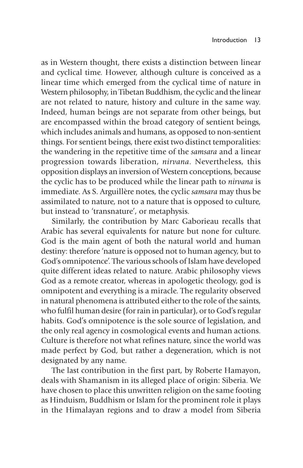as in Western thought, there exists a distinction between linear and cyclical time. However, although culture is conceived as a linear time which emerged from the cyclical time of nature in Western philosophy, in Tibetan Buddhism, the cyclic and the linear are not related to nature, history and culture in the same way. Indeed, human beings are not separate from other beings, but are encompassed within the broad category of sentient beings, which includes animals and humans, as opposed to non-sentient things. For sentient beings, there exist two distinct temporalities: the wandering in the repetitive time of the *samsara* and a linear progression towards liberation, *nirvana*. Nevertheless, this opposition displays an inversion of Western conceptions, because the cyclic has to be produced while the linear path to *nirvana* is immediate. As S. Arguillère notes, the cyclic *samsara* may thus be assimilated to nature, not to a nature that is opposed to culture, but instead to 'transnature', or metaphysis.

Similarly, the contribution by Marc Gaborieau recalls that Arabic has several equivalents for nature but none for culture. God is the main agent of both the natural world and human destiny: therefore 'nature is opposed not to human agency, but to God's omnipotence'. The various schools of Islam have developed quite different ideas related to nature. Arabic philosophy views God as a remote creator, whereas in apologetic theology, god is omnipotent and everything is a miracle. The regularity observed in natural phenomena is attributed either to the role of the saints, who fulfil human desire (for rain in particular), or to God's regular habits. God's omnipotence is the sole source of legislation, and the only real agency in cosmological events and human actions. Culture is therefore not what refines nature, since the world was made perfect by God, but rather a degeneration, which is not designated by any name.

The last contribution in the [first part,](#page--1-0) by Roberte Hamayon, deals with Shamanism in its alleged place of origin: Siberia. We have chosen to place this unwritten religion on the same footing as Hinduism, Buddhism or Islam for the prominent role it plays in the Himalayan regions and to draw a model from Siberia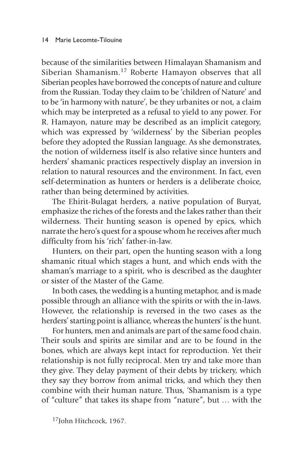because of the similarities between Himalayan Shamanism and Siberian Shamanism.[17](#page--1-0) Roberte Hamayon observes that all Siberian peoples have borrowed the concepts of nature and culture from the Russian. Today they claim to be 'children of Nature' and to be 'in harmony with nature', be they urbanites or not, a claim which may be interpreted as a refusal to yield to any power. For R. Hamayon, nature may be described as an implicit category, which was expressed by 'wilderness' by the Siberian peoples before they adopted the Russian language. As she demonstrates, the notion of wilderness itself is also relative since hunters and herders' shamanic practices respectively display an inversion in relation to natural resources and the environment. In fact, even self-determination as hunters or herders is a deliberate choice, rather than being determined by activities.

The Ehirit-Bulagat herders, a native population of Buryat, emphasize the riches of the forests and the lakes rather than their wilderness. Their hunting season is opened by epics, which narrate the hero's quest for a spouse whom he receives after much difficulty from his 'rich' father-in-law.

Hunters, on their part, open the hunting season with a long shamanic ritual which stages a hunt, and which ends with the shaman's marriage to a spirit, who is described as the daughter or sister of the Master of the Game.

In both cases, the wedding is a hunting metaphor, and is made possible through an alliance with the spirits or with the in-laws. However, the relationship is reversed in the two cases as the herders' starting point is alliance, whereas the hunters' is the hunt.

For hunters, men and animals are part of the same food chain. Their souls and spirits are similar and are to be found in the bones, which are always kept intact for reproduction. Yet their relationship is not fully reciprocal. Men try and take more than they give. They delay payment of their debts by trickery, which they say they borrow from animal tricks, and which they then combine with their human nature. Thus, 'Shamanism is a type of "culture" that takes its shape from "nature", but … with the

[17](#page--1-0)John Hitchcock, 1967.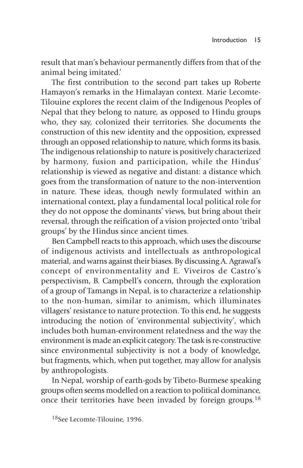result that man's behaviour permanently differs from that of the animal being imitated.'

The first contribution to the [second part t](#page--1-0)akes up Roberte Hamayon's remarks in the Himalayan context. Marie Lecomte-Tilouine explores the recent claim of the Indigenous Peoples of Nepal that they belong to nature, as opposed to Hindu groups who, they say, colonized their territories. She documents the construction of this new identity and the opposition, expressed through an opposed relationship to nature, which forms its basis. The indigenous relationship to nature is positively characterized by harmony, fusion and participation, while the Hindus' relationship is viewed as negative and distant: a distance which goes from the transformation of nature to the non-intervention in nature. These ideas, though newly formulated within an international context, play a fundamental local political role for they do not oppose the dominants' views, but bring about their reversal, through the reification of a vision projected onto 'tribal groups' by the Hindus since ancient times.

Ben Campbell reacts to this approach, which uses the discourse of indigenous activists and intellectuals as anthropological material, and warns against their biases. By discussing A. Agrawal's concept of environmentality and E. Viveiros de Castro's perspectivism, B. Campbell's concern, through the exploration of a group of Tamangs in Nepal, is to characterize a relationship to the non-human, similar to animism, which illuminates villagers' resistance to nature protection. To this end, he suggests introducing the notion of 'environmental subjectivity', which includes both human-environment relatedness and the way the environment is made an explicit category. The task is re-constructive since environmental subjectivity is not a body of knowledge, but fragments, which, when put together, may allow for analysis by anthropologists.

In Nepal, worship of earth-gods by Tibeto-Burmese speaking groups often seems modelled on a reaction to political dominance, once their territories have been invaded by foreign groups.[18](#page--1-0)

[<sup>18</sup>S](#page--1-0)ee Lecomte-Tilouine, 1996.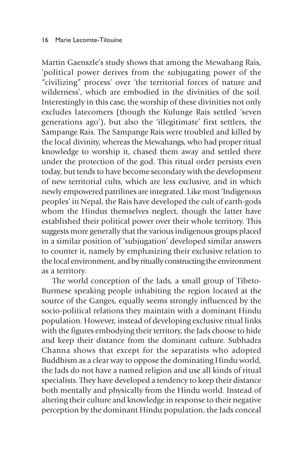Martin Gaenszle's study shows that among the Mewahang Rais, 'political power derives from the subjugating power of the "civilizing" process' over 'the territorial forces of nature and wilderness', which are embodied in the divinities of the soil. Interestingly in this case, the worship of these divinities not only excludes latecomers (though the Kulunge Rais settled 'seven generations ago'), but also the 'illegitimate' first settlers, the Sampange Rais. The Sampange Rais were troubled and killed by the local divinity, whereas the Mewahangs, who had proper ritual knowledge to worship it, chased them away and settled there under the protection of the god. This ritual order persists even today, but tends to have become secondary with the development of new territorial cults, which are less exclusive, and in which newly empowered patrilines are integrated. Like most 'Indigenous peoples' in Nepal, the Rais have developed the cult of earth-gods whom the Hindus themselves neglect, though the latter have established their political power over their whole territory. This suggests more generally that the various indigenous groups placed in a similar position of 'subjugation' developed similar answers to counter it, namely by emphasizing their exclusive relation to the local environment, and by ritually constructing the environment as a territory.

The world conception of the Jads, a small group of Tibeto-Burmese speaking people inhabiting the region located at the source of the Ganges, equally seems strongly influenced by the socio-political relations they maintain with a dominant Hindu population. However, instead of developing exclusive ritual links with the figures embodying their territory, the Jads choose to hide and keep their distance from the dominant culture. Subhadra Channa shows that except for the separatists who adopted Buddhism as a clear way to oppose the dominating Hindu world, the Jads do not have a named religion and use all kinds of ritual specialists. They have developed a tendency to keep their distance both mentally and physically from the Hindu world. Instead of altering their culture and knowledge in response to their negative perception by the dominant Hindu population, the Jads conceal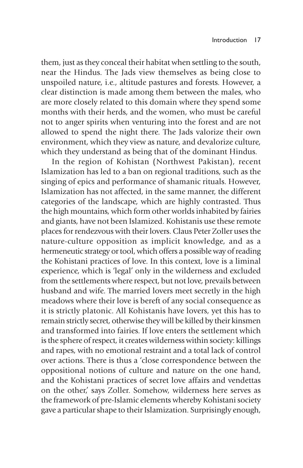them, just as they conceal their habitat when settling to the south, near the Hindus. The Jads view themselves as being close to unspoiled nature, i.e., altitude pastures and forests. However, a clear distinction is made among them between the males, who are more closely related to this domain where they spend some months with their herds, and the women, who must be careful not to anger spirits when venturing into the forest and are not allowed to spend the night there. The Jads valorize their own environment, which they view as nature, and devalorize culture, which they understand as being that of the dominant Hindus.

In the region of Kohistan (Northwest Pakistan), recent Islamization has led to a ban on regional traditions, such as the singing of epics and performance of shamanic rituals. However, Islamization has not affected, in the same manner, the different categories of the landscape, which are highly contrasted. Thus the high mountains, which form other worlds inhabited by fairies and giants, have not been Islamized. Kohistanis use these remote places for rendezvous with their lovers. Claus Peter Zoller uses the nature-culture opposition as implicit knowledge, and as a hermeneutic strategy or tool, which offers a possible way of reading the Kohistani practices of love. In this context, love is a liminal experience, which is 'legal' only in the wilderness and excluded from the settlements where respect, but not love, prevails between husband and wife. The married lovers meet secretly in the high meadows where their love is bereft of any social consequence as it is strictly platonic. All Kohistanis have lovers, yet this has to remain strictly secret, otherwise they will be killed by their kinsmen and transformed into fairies. If love enters the settlement which is the sphere of respect, it creates wilderness within society: killings and rapes, with no emotional restraint and a total lack of control over actions. There is thus a 'close correspondence between the oppositional notions of culture and nature on the one hand, and the Kohistani practices of secret love affairs and vendettas on the other,' says Zoller. Somehow, wilderness here serves as the framework of pre-Islamic elements whereby Kohistani society gave a particular shape to their Islamization. Surprisingly enough,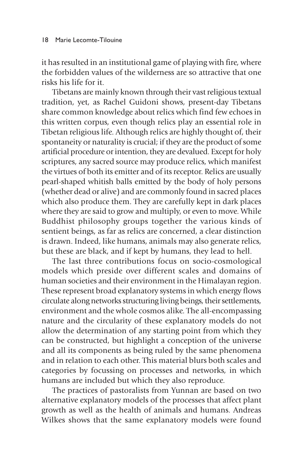it has resulted in an institutional game of playing with fire, where the forbidden values of the wilderness are so attractive that one risks his life for it.

Tibetans are mainly known through their vast religious textual tradition, yet, as Rachel Guidoni shows, present-day Tibetans share common knowledge about relics which find few echoes in this written corpus, even though relics play an essential role in Tibetan religious life. Although relics are highly thought of, their spontaneity or naturality is crucial; if they are the product of some artificial procedure or intention, they are devalued. Except for holy scriptures, any sacred source may produce relics, which manifest the virtues of both its emitter and of its receptor. Relics are usually pearl-shaped whitish balls emitted by the body of holy persons (whether dead or alive) and are commonly found in sacred places which also produce them. They are carefully kept in dark places where they are said to grow and multiply, or even to move. While Buddhist philosophy groups together the various kinds of sentient beings, as far as relics are concerned, a clear distinction is drawn. Indeed, like humans, animals may also generate relics, but these are black, and if kept by humans, they lead to hell.

The last three contributions focus on socio-cosmological models which preside over different scales and domains of human societies and their environment in the Himalayan region. These represent broad explanatory systems in which energy flows circulate along networks structuring living beings, their settlements, environment and the whole cosmos alike. The all-encompassing nature and the circularity of these explanatory models do not allow the determination of any starting point from which they can be constructed, but highlight a conception of the universe and all its components as being ruled by the same phenomena and in relation to each other. This material blurs both scales and categories by focussing on processes and networks, in which humans are included but which they also reproduce.

The practices of pastoralists from Yunnan are based on two alternative explanatory models of the processes that affect plant growth as well as the health of animals and humans. Andreas Wilkes shows that the same explanatory models were found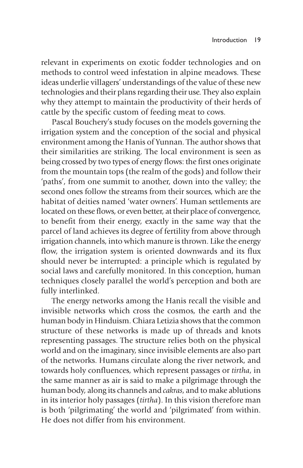relevant in experiments on exotic fodder technologies and on methods to control weed infestation in alpine meadows. These ideas underlie villagers' understandings of the value of these new technologies and their plans regarding their use. They also explain why they attempt to maintain the productivity of their herds of cattle by the specific custom of feeding meat to cows.

Pascal Bouchery's study focuses on the models governing the irrigation system and the conception of the social and physical environment among the Hanis of Yunnan. The author shows that their similarities are striking. The local environment is seen as being crossed by two types of energy flows: the first ones originate from the mountain tops (the realm of the gods) and follow their 'paths', from one summit to another, down into the valley; the second ones follow the streams from their sources, which are the habitat of deities named 'water owners'. Human settlements are located on these flows, or even better, at their place of convergence, to benefit from their energy, exactly in the same way that the parcel of land achieves its degree of fertility from above through irrigation channels, into which manure is thrown. Like the energy flow, the irrigation system is oriented downwards and its flux should never be interrupted: a principle which is regulated by social laws and carefully monitored. In this conception, human techniques closely parallel the world's perception and both are fully interlinked.

The energy networks among the Hanis recall the visible and invisible networks which cross the cosmos, the earth and the human body in Hinduism. Chiara Letizia shows that the common structure of these networks is made up of threads and knots representing passages. The structure relies both on the physical world and on the imaginary, since invisible elements are also part of the networks. Humans circulate along the river network, and towards holy confluences, which represent passages or *tirtha*, in the same manner as air is said to make a pilgrimage through the human body, along its channels and *cakras*, and to make ablutions in its interior holy passages (*tirtha*). In this vision therefore man is both 'pilgrimating' the world and 'pilgrimated' from within. He does not differ from his environment.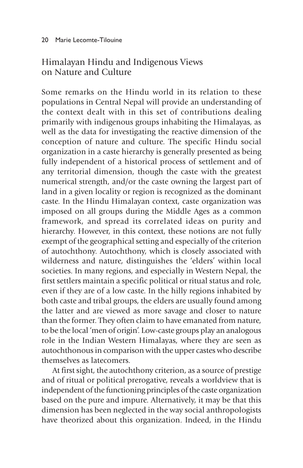### Himalayan Hindu and Indigenous Views on Nature and Culture

Some remarks on the Hindu world in its relation to these populations in Central Nepal will provide an understanding of the context dealt with in this set of contributions dealing primarily with indigenous groups inhabiting the Himalayas, as well as the data for investigating the reactive dimension of the conception of nature and culture. The specific Hindu social organization in a caste hierarchy is generally presented as being fully independent of a historical process of settlement and of any territorial dimension, though the caste with the greatest numerical strength, and/or the caste owning the largest part of land in a given locality or region is recognized as the dominant caste. In the Hindu Himalayan context, caste organization was imposed on all groups during the Middle Ages as a common framework, and spread its correlated ideas on purity and hierarchy. However, in this context, these notions are not fully exempt of the geographical setting and especially of the criterion of autochthony. Autochthony, which is closely associated with wilderness and nature, distinguishes the 'elders' within local societies. In many regions, and especially in Western Nepal, the first settlers maintain a specific political or ritual status and role, even if they are of a low caste. In the hilly regions inhabited by both caste and tribal groups, the elders are usually found among the latter and are viewed as more savage and closer to nature than the former. They often claim to have emanated from nature, to be the local 'men of origin'. Low-caste groups play an analogous role in the Indian Western Himalayas, where they are seen as autochthonous in comparison with the upper castes who describe themselves as latecomers.

At first sight, the autochthony criterion, as a source of prestige and of ritual or political prerogative, reveals a worldview that is independent of the functioning principles of the caste organization based on the pure and impure. Alternatively, it may be that this dimension has been neglected in the way social anthropologists have theorized about this organization. Indeed, in the Hindu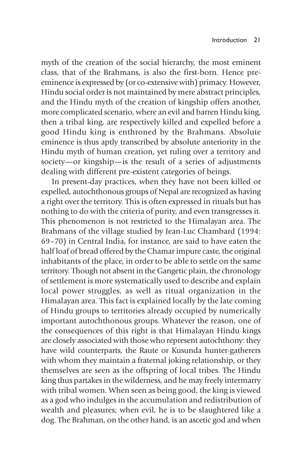myth of the creation of the social hierarchy, the most eminent class, that of the Brahmans, is also the first-born. Hence preeminence is expressed by (or co-extensive with) primacy. However, Hindu social order is not maintained by mere abstract principles, and the Hindu myth of the creation of kingship offers another, more complicated scenario, where an evil and barren Hindu king, then a tribal king, are respectively killed and expelled before a good Hindu king is enthroned by the Brahmans. Absolute eminence is thus aptly transcribed by absolute anteriority in the Hindu myth of human creation, yet ruling over a territory and society—or kingship—is the result of a series of adjustments dealing with different pre-existent categories of beings.

In present-day practices, when they have not been killed or expelled, autochthonous groups of Nepal are recognized as having a right over the territory. This is often expressed in rituals but has nothing to do with the criteria of purity, and even transgresses it. This phenomenon is not restricted to the Himalayan area. The Brahmans of the village studied by Jean-Luc Chambard (1994: 69–70) in Central India, for instance, are said to have eaten the half loaf of bread offered by the Chamar impure caste, the original inhabitants of the place, in order to be able to settle on the same territory. Though not absent in the Gangetic plain, the chronology of settlement is more systematically used to describe and explain local power struggles, as well as ritual organization in the Himalayan area. This fact is explained locally by the late coming of Hindu groups to territories already occupied by numerically important autochthonous groups. Whatever the reason, one of the consequences of this right is that Himalayan Hindu kings are closely associated with those who represent autochthony: they have wild counterparts, the Raute or Kusunda hunter-gatherers with whom they maintain a fraternal joking relationship, or they themselves are seen as the offspring of local tribes. The Hindu king thus partakes in the wilderness, and he may freely intermarry with tribal women. When seen as being good, the king is viewed as a god who indulges in the accumulation and redistribution of wealth and pleasures; when evil, he is to be slaughtered like a dog. The Brahman, on the other hand, is an ascetic god and when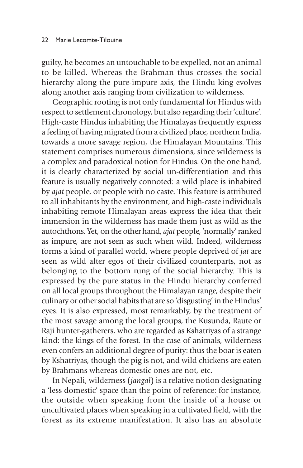guilty, he becomes an untouchable to be expelled, not an animal to be killed. Whereas the Brahman thus crosses the social hierarchy along the pure-impure axis, the Hindu king evolves along another axis ranging from civilization to wilderness.

Geographic rooting is not only fundamental for Hindus with respect to settlement chronology, but also regarding their 'culture'. High-caste Hindus inhabiting the Himalayas frequently express a feeling of having migrated from a civilized place, northern India, towards a more savage region, the Himalayan Mountains. This statement comprises numerous dimensions, since wilderness is a complex and paradoxical notion for Hindus. On the one hand, it is clearly characterized by social un-differentiation and this feature is usually negatively connoted: a wild place is inhabited by *ajat* people, or people with no caste. This feature is attributed to all inhabitants by the environment, and high-caste individuals inhabiting remote Himalayan areas express the idea that their immersion in the wilderness has made them just as wild as the autochthons. Yet, on the other hand, *ajat* people, 'normally' ranked as impure, are not seen as such when wild. Indeed, wilderness forms a kind of parallel world, where people deprived of *jat* are seen as wild alter egos of their civilized counterparts, not as belonging to the bottom rung of the social hierarchy. This is expressed by the pure status in the Hindu hierarchy conferred on all local groups throughout the Himalayan range, despite their culinary or other social habits that are so 'disgusting' in the Hindus' eyes. It is also expressed, most remarkably, by the treatment of the most savage among the local groups, the Kusunda, Raute or Raji hunter-gatherers, who are regarded as Kshatriyas of a strange kind: the kings of the forest. In the case of animals, wilderness even confers an additional degree of purity: thus the boar is eaten by Kshatriyas, though the pig is not, and wild chickens are eaten by Brahmans whereas domestic ones are not, etc.

In Nepali, wilderness (*jangal*) is a relative notion designating a 'less domestic' space than the point of reference: for instance, the outside when speaking from the inside of a house or uncultivated places when speaking in a cultivated field, with the forest as its extreme manifestation. It also has an absolute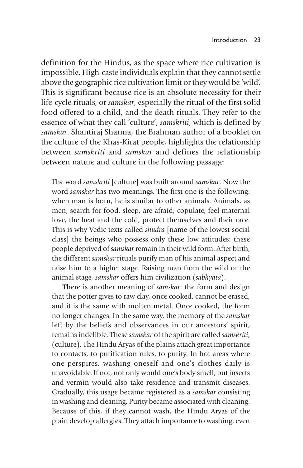definition for the Hindus, as the space where rice cultivation is impossible. High-caste individuals explain that they cannot settle above the geographic rice cultivation limit or they would be 'wild'. This is significant because rice is an absolute necessity for their life-cycle rituals, or *samskar*, especially the ritual of the first solid food offered to a child, and the death rituals. They refer to the essence of what they call 'culture', *samskriti*, which is defined by *samskar*. Shantiraj Sharma, the Brahman author of a booklet on the culture of the Khas-Kirat people, highlights the relationship between *samskriti* and *samskar* and defines the relationship between nature and culture in the following passage:

The word *samskriti* [culture] was built around *samskar*. Now the word *samskar* has two meanings. The first one is the following: when man is born, he is similar to other animals. Animals, as men, search for food, sleep, are afraid, copulate, feel maternal love, the heat and the cold, protect themselves and their race. This is why Vedic texts called *shudra* [name of the lowest social class] the beings who possess only these low attitudes: these people deprived of *samskar* remain in their wild form. After birth, the different *samskar* rituals purify man of his animal aspect and raise him to a higher stage. Raising man from the wild or the animal stage, *samskar* offers him civilization (*sabhyata*).

There is another meaning of *samskar*: the form and design that the potter gives to raw clay, once cooked, cannot be erased, and it is the same with molten metal. Once cooked, the form no longer changes. In the same way, the memory of the *samskar* left by the beliefs and observances in our ancestors' spirit, remains indelible. These *samskar* of the spirit are called *samskriti*, (culture). The Hindu Aryas of the plains attach great importance to contacts, to purification rules, to purity. In hot areas where one perspires, washing oneself and one's clothes daily is unavoidable. If not, not only would one's body smell, but insects and vermin would also take residence and transmit diseases. Gradually, this usage became registered as a *samskar* consisting in washing and cleaning. Purity became associated with cleaning. Because of this, if they cannot wash, the Hindu Aryas of the plain develop allergies. They attach importance to washing, even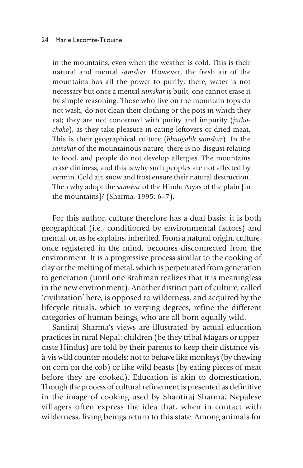#### 24 Marie Lecomte-Tilouine

in the mountains, even when the weather is cold. This is their natural and mental *samskar*. However, the fresh air of the mountains has all the power to purify: there, water is not necessary but once a mental *samskar* is built, one cannot erase it by simple reasoning. Those who live on the mountain tops do not wash, do not clean their clothing or the pots in which they eat; they are not concerned with purity and impurity (*juthochoko*), as they take pleasure in eating leftovers or dried meat. This is their geographical culture (*bhaugolik samskar*). In the *samskar* of the mountainous nature, there is no disgust relating to food, and people do not develop allergies. The mountains erase dirtiness, and this is why such peoples are not affected by vermin. Cold air, snow and frost ensure their natural destruction. Then why adopt the *samskar* of the Hindu Aryas of the plain [in the mountains]? (Sharma, 1995: 6–7).

For this author, culture therefore has a dual basis: it is both geographical (i.e., conditioned by environmental factors) and mental, or, as he explains, inherited. From a natural origin, culture, once registered in the mind, becomes disconnected from the environment. It is a progressive process similar to the cooking of clay or the melting of metal, which is perpetuated from generation to generation (until one Brahman realizes that it is meaningless in the new environment). Another distinct part of culture, called 'civilization' here, is opposed to wilderness, and acquired by the lifecycle rituals, which to varying degrees, refine the different categories of human beings, who are all born equally wild.

Santiraj Sharma's views are illustrated by actual education practices in rural Nepal: children (be they tribal Magars or uppercaste Hindus) are told by their parents to keep their distance visà-vis wild counter-models: not to behave like monkeys (by chewing on corn on the cob) or like wild beasts (by eating pieces of meat before they are cooked). Education is akin to domestication. Though the process of cultural refinement is presented as definitive in the image of cooking used by Shantiraj Sharma, Nepalese villagers often express the idea that, when in contact with wilderness, living beings return to this state. Among animals for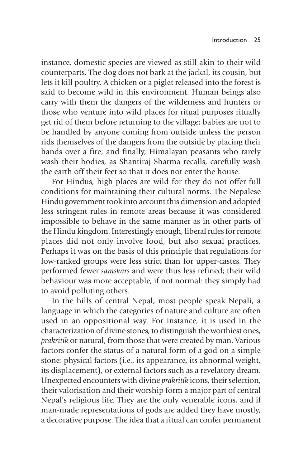instance, domestic species are viewed as still akin to their wild counterparts. The dog does not bark at the jackal, its cousin, but lets it kill poultry. A chicken or a piglet released into the forest is said to become wild in this environment. Human beings also carry with them the dangers of the wilderness and hunters or those who venture into wild places for ritual purposes ritually get rid of them before returning to the village; babies are not to be handled by anyone coming from outside unless the person rids themselves of the dangers from the outside by placing their hands over a fire; and finally, Himalayan peasants who rarely wash their bodies, as Shantiraj Sharma recalls, carefully wash the earth off their feet so that it does not enter the house.

For Hindus, high places are wild for they do not offer full conditions for maintaining their cultural norms. The Nepalese Hindu government took into account this dimension and adopted less stringent rules in remote areas because it was considered impossible to behave in the same manner as in other parts of the Hindu kingdom. Interestingly enough, liberal rules for remote places did not only involve food, but also sexual practices. Perhaps it was on the basis of this principle that regulations for low-ranked groups were less strict than for upper-castes. They performed fewer *samskars* and were thus less refined; their wild behaviour was more acceptable, if not normal: they simply had to avoid polluting others.

In the hills of central Nepal, most people speak Nepali, a language in which the categories of nature and culture are often used in an oppositional way. For instance, it is used in the characterization of divine stones, to distinguish the worthiest ones, *prakritik* or natural, from those that were created by man. Various factors confer the status of a natural form of a god on a simple stone: physical factors (i.e., its appearance, its abnormal weight, its displacement), or external factors such as a revelatory dream. Unexpected encounters with divine *prakritik* icons, their selection, their valorisation and their worship form a major part of central Nepal's religious life. They are the only venerable icons, and if man-made representations of gods are added they have mostly, a decorative purpose. The idea that a ritual can confer permanent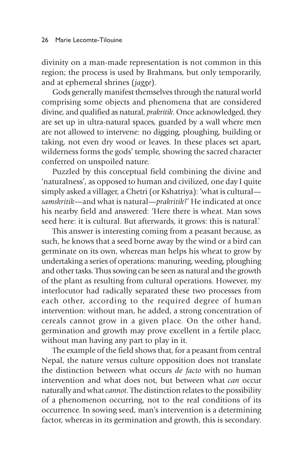divinity on a man-made representation is not common in this region; the process is used by Brahmans, but only temporarily, and at ephemeral shrines (*jagge*).

Gods generally manifest themselves through the natural world comprising some objects and phenomena that are considered divine, and qualified as natural, *prakritik*. Once acknowledged, they are set up in ultra-natural spaces, guarded by a wall where men are not allowed to intervene: no digging, ploughing, building or taking, not even dry wood or leaves. In these places set apart, wilderness forms the gods' temple, showing the sacred character conferred on unspoiled nature.

Puzzled by this conceptual field combining the divine and 'naturalness', as opposed to human and civilized, one day I quite simply asked a villager, a Chetri (or Kshatriya): 'what is cultural *samskritik—*and what is natural—*prakritik*?' He indicated at once his nearby field and answered: 'Here there is wheat. Man sows seed here: it is cultural. But afterwards, it grows: this is natural.'

This answer is interesting coming from a peasant because, as such, he knows that a seed borne away by the wind or a bird can germinate on its own, whereas man helps his wheat to grow by undertaking a series of operations: manuring, weeding, ploughing and other tasks. Thus sowing can be seen as natural and the growth of the plant as resulting from cultural operations. However, my interlocutor had radically separated these two processes from each other, according to the required degree of human intervention: without man, he added, a strong concentration of cereals cannot grow in a given place. On the other hand, germination and growth may prove excellent in a fertile place, without man having any part to play in it.

The example of the field shows that, for a peasant from central Nepal, the nature versus culture opposition does not translate the distinction between what occurs *de facto* with no human intervention and what does not, but between what *can* occur naturally and what *cannot*. The distinction relates to the possibility of a phenomenon occurring, not to the real conditions of its occurrence. In sowing seed, man's intervention is a determining factor, whereas in its germination and growth, this is secondary.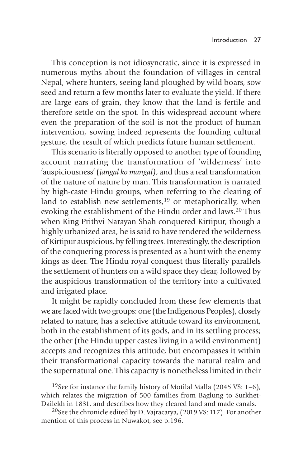This conception is not idiosyncratic, since it is expressed in numerous myths about the foundation of villages in central Nepal, where hunters, seeing land ploughed by wild boars, sow seed and return a few months later to evaluate the yield. If there are large ears of grain, they know that the land is fertile and therefore settle on the spot. In this widespread account where even the preparation of the soil is not the product of human intervention, sowing indeed represents the founding cultural gesture, the result of which predicts future human settlement.

This scenario is literally opposed to another type of founding account narrating the transformation of 'wilderness' into 'auspiciousness' (*jangal ko mangal)*, and thus a real transformation of the nature of nature by man. This transformation is narrated by high-caste Hindu groups, when referring to the clearing of land to establish new settlements,<sup>19</sup> or metaphorically, when evoking the establishment of the Hindu order and laws.<sup>20</sup> Thus when King Prithvi Narayan Shah conquered Kirtipur, though a highly urbanized area, he is said to have rendered the wilderness of Kirtipur auspicious, by felling trees. Interestingly, the description of the conquering process is presented as a hunt with the enemy kings as deer. The Hindu royal conquest thus literally parallels the settlement of hunters on a wild space they clear, followed by the auspicious transformation of the territory into a cultivated and irrigated place.

It might be rapidly concluded from these few elements that we are faced with two groups: one (the Indigenous Peoples), closely related to nature, has a selective attitude toward its environment, both in the establishment of its gods, and in its settling process; the other (the Hindu upper castes living in a wild environment) accepts and recognizes this attitude, but encompasses it within their transformational capacity towards the natural realm and the supernatural one. This capacity is nonetheless limited in their

<sup>[19](#page--1-0)</sup>See for instance the family history of Motilal Malla (2045 VS: 1–6), which relates the migration of 500 families from Baglung to Surkhet-Dailekh in 1831, and describes how they cleared land and made canals.

<sup>20</sup>See the chronicle edited by D. Vajracarya,  $(2019 \text{ VS: } 117)$ . For another mention of this process in Nuwakot, see [p.196.](#page--1-0)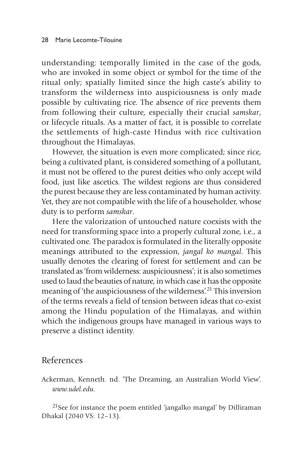understanding: temporally limited in the case of the gods, who are invoked in some object or symbol for the time of the ritual only; spatially limited since the high caste's ability to transform the wilderness into auspiciousness is only made possible by cultivating rice. The absence of rice prevents them from following their culture, especially their crucial *samskar*, or lifecycle rituals. As a matter of fact, it is possible to correlate the settlements of high-caste Hindus with rice cultivation throughout the Himalayas.

However, the situation is even more complicated; since rice, being a cultivated plant, is considered something of a pollutant, it must not be offered to the purest deities who only accept wild food, just like ascetics. The wildest regions are thus considered the purest because they are less contaminated by human activity. Yet, they are not compatible with the life of a householder, whose duty is to perform *samskar*.

Here the valorization of untouched nature coexists with the need for transforming space into a properly cultural zone, i.e., a cultivated one. The paradox is formulated in the literally opposite meanings attributed to the expression, *jangal ko mangal.* This usually denotes the clearing of forest for settlement and can be translated as 'from wilderness: auspiciousness'; it is also sometimes used to laud the beauties of nature, in which case it has the opposite meaning of 'the auspiciousness of the wilderness['.21](#page--1-0) This inversion of the terms reveals a field of tension between ideas that co-exist among the Hindu population of the Himalayas, and within which the indigenous groups have managed in various ways to preserve a distinct identity.

#### References

Ackerman, Kenneth. nd. 'The Dreaming, an Australian World View'. *[www.udel.edu](http://www.udel.edu)*.

[21S](#page--1-0)ee for instance the poem entitled 'jangalko mangal' by Dilliraman Dhakal (2040 VS: 12–13).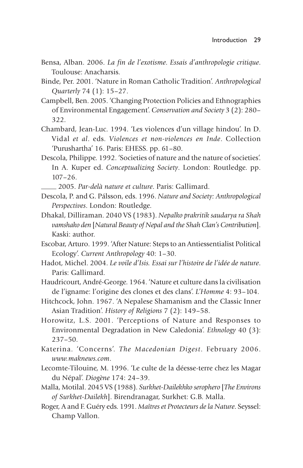- Bensa, Alban. 2006. *La fin de l'exotisme*. *Essais d'anthropologie critique*. Toulouse: Anacharsis.
- Binde, Per. 2001. 'Nature in Roman Catholic Tradition'. *Anthropological Quarterly* 74 (1): 15–27.
- Campbell, Ben. 2005. 'Changing Protection Policies and Ethnographies of Environmental Engagement'. *Conservation and Society* 3 (2): 280– 322.
- Chambard, Jean-Luc. 1994. 'Les violences d'un village hindou'. In D. Vidal *et al*. eds. *Violences et non-violences en Inde*. Collection 'Purushartha' 16. Paris: EHESS. pp. 61–80.
- Descola, Philippe. 1992. 'Societies of nature and the nature of societies'. In A. Kuper ed. *Conceptualizing Society*. London: Routledge. pp. 107–26.
	- 2005. *Par-delà nature et culture*. Paris: Gallimard.
- Descola, P. and G. Pálsson, eds. 1996. *Nature and Society: Anthropological Perspectives*. London: Routledge.
- Dhakal, Dilliraman. 2040 VS (1983). *Nepalko prakritik saudarya ra Shah vamshako den* [*Natural Beauty of Nepal and the Shah Clan's Contribution*]. Kaski: author.
- Escobar, Arturo. 1999. 'After Nature: Steps to an Antiessentialist Political Ecology'. *Current Anthropology* 40: 1–30.
- Hadot, Michel. 2004. *Le voile d'Isis. Essai sur l'histoire de l'idée de nature*. Paris: Gallimard.
- Haudricourt, André-George. 1964. 'Nature et culture dans la civilisation de l'igname: l'origine des clones et des clans'. *L'Homme* 4: 93–104.
- Hitchcock, John. 1967. 'A Nepalese Shamanism and the Classic Inner Asian Tradition'. *History of Religions* 7 (2): 149–58.
- Horowitz, L.S. 2001. 'Perceptions of Nature and Responses to Environmental Degradation in New Caledonia'. *Ethnology* 40 (3): 237–50.
- Katerina. 'Concerns'. *The Macedonian Digest*. February 2006. *[www.maknews.com](http://www.maknews.com)*.
- Lecomte-Tilouine, M. 1996. 'Le culte de la déesse-terre chez les Magar du Népal'. *Diogène* 174: 24–39.
- Malla, Motilal. 2045 VS (1988). *Surkhet-Dailekhko serophero* [*The Environs of Surkhet-Dailekh*]. Birendranagar, Surkhet: G.B. Malla.
- Roger, A and F. Guéry eds. 1991. *Maîtres et Protecteurs de la Nature*. Seyssel: Champ Vallon.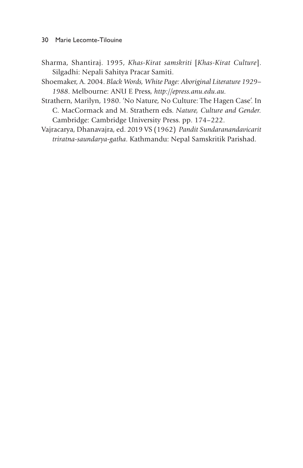- 30 Marie Lecomte-Tilouine
- Sharma, Shantiraj. 1995, *Khas-Kirat samskriti* [*Khas-Kirat Culture*]. Silgadhi: Nepali Sahitya Pracar Samiti.
- Shoemaker, A. 2004. *Black Words, White Page: Aboriginal Literature 1929– 1988*. Melbourne: ANU E Press, *[http://epress.anu.edu.au.](http://www.epress.anu.edu.au)*
- Strathern, Marilyn, 1980. 'No Nature, No Culture: The Hagen Case'. In C. MacCormack and M. Strathern eds. *Nature, Culture and Gender.* Cambridge: Cambridge University Press. pp. 174–222.
- Vajracarya, Dhanavajra, ed. 2019 VS (1962) *Pandit Sundaranandavicarit triratna-saundarya-gatha*. Kathmandu: Nepal Samskritik Parishad.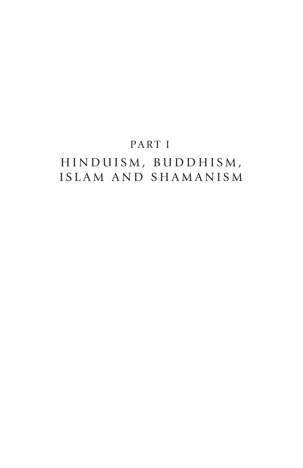### PART I

## HINDUISM, BUDDHISM, [ISLAM AND SHAMANISM](#page--1-0)